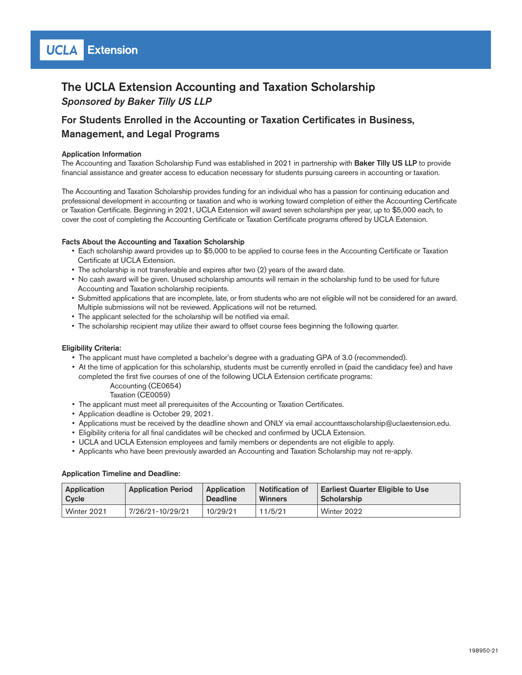### The UCLA Extension Accounting and Taxation Scholarship *Sponsored by Baker Tilly US LLP*

### For Students Enrolled in the Accounting or Taxation Certificates in Business, Management, and Legal Programs

#### Application Information

The Accounting and Taxation Scholarship Fund was established in 2021 in partnership with Baker Tilly US LLP to provide financial assistance and greater access to education necessary for students pursuing careers in accounting or taxation.

The Accounting and Taxation Scholarship provides funding for an individual who has a passion for continuing education and professional development in accounting or taxation and who is working toward completion of either the Accounting Certificate or Taxation Certificate. Beginning in 2021, UCLA Extension will award seven scholarships per year, up to \$5,000 each, to cover the cost of completing the Accounting Certificate or Taxation Certificate programs offered by UCLA Extension.

#### Facts About the Accounting and Taxation Scholarship

- Each scholarship award provides up to \$5,000 to be applied to course fees in the Accounting Certificate or Taxation Certificate at UCLA Extension.
- The scholarship is not transferable and expires after two (2) years of the award date.
- No cash award will be given. Unused scholarship amounts will remain in the scholarship fund to be used for future Accounting and Taxation scholarship recipients.
- Submitted applications that are incomplete, late, or from students who are not eligible will not be considered for an award. Multiple submissions will not be reviewed. Applications will not be returned.
- The applicant selected for the scholarship will be notified via email.
- The scholarship recipient may utilize their award to offset course fees beginning the following quarter.

#### Eligibility Criteria:

- The applicant must have completed a bachelor's degree with a graduating GPA of 3.0 (recommended).
- At the time of application for this scholarship, students must be currently enrolled in (paid the candidacy fee) and have completed the first five courses of one of the following UCLA Extension certificate programs:

 Accounting (CE0654) Taxation (CE0059)

- The applicant must meet all prerequisites of the Accounting or Taxation Certificates.
- Application deadline is October 29, 2021.
- Applications must be received by the deadline shown and ONLY via email accounttaxscholarship@uclaextension.edu.
- Eligibility criteria for all final candidates will be checked and confirmed by UCLA Extension.
- UCLA and UCLA Extension employees and family members or dependents are not eligible to apply.
- Applicants who have been previously awarded an Accounting and Taxation Scholarship may not re-apply.

#### Application Timeline and Deadline:

| Application | <b>Application Period</b> | Application     | <b>Notification of</b> | <b>Earliest Quarter Eligible to Use</b> |  |
|-------------|---------------------------|-----------------|------------------------|-----------------------------------------|--|
| Cycle       |                           | <b>Deadline</b> | <b>Winners</b>         | <sup>⊥</sup> Scholarship                |  |
| Winter 2021 | 7/26/21-10/29/21          | 10/29/21        | 11/5/21                | Winter 2022                             |  |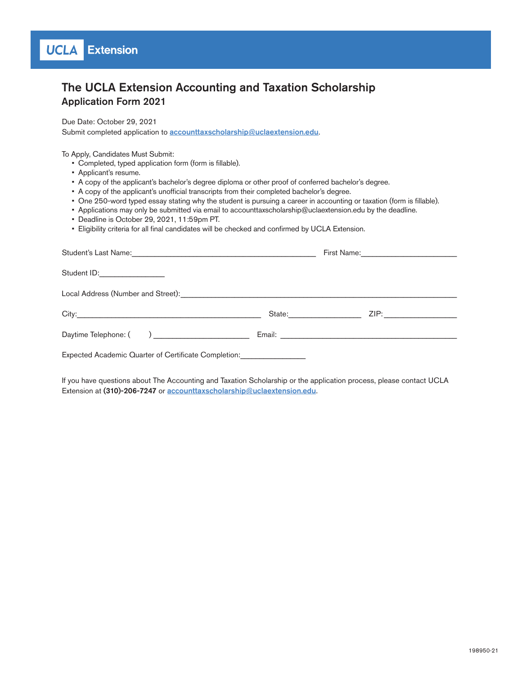# The UCLA Extension Accounting and Taxation Scholarship Application Form 2021

Due Date: October 29, 2021 Submit completed application to **[accounttaxscholarship@uclaextension.edu](mailto:accounttaxscholarship@uclaextension.edu)**.

To Apply, Candidates Must Submit:

- Completed, typed application form (form is fillable).
- Applicant's resume.
- A copy of the applicant's bachelor's degree diploma or other proof of conferred bachelor's degree.
- A copy of the applicant's unofficial transcripts from their completed bachelor's degree.
- One 250-word typed essay stating why the student is pursuing a career in accounting or taxation (form is fillable).
- Applications may only be submitted via email to accounttaxscholarship@uclaextension.edu by the deadline.
- Deadline is October 29, 2021, 11:59pm PT.
- Eligibility criteria for all final candidates will be checked and confirmed by UCLA Extension.

| Student ID:_________________                                                                              |  |  |  |  |  |  |  |
|-----------------------------------------------------------------------------------------------------------|--|--|--|--|--|--|--|
|                                                                                                           |  |  |  |  |  |  |  |
|                                                                                                           |  |  |  |  |  |  |  |
|                                                                                                           |  |  |  |  |  |  |  |
| Expected Academic Quarter of Certificate Completion: Expected Academic Quarter of Certificate Completion: |  |  |  |  |  |  |  |

If you have questions about The Accounting and Taxation Scholarship or the application process, please contact UCLA Extension at (310)-206-7247 or **[accounttaxscholarship@uclaextension.edu](mailto:accounttaxscholarship@uclaextension.edu)**.